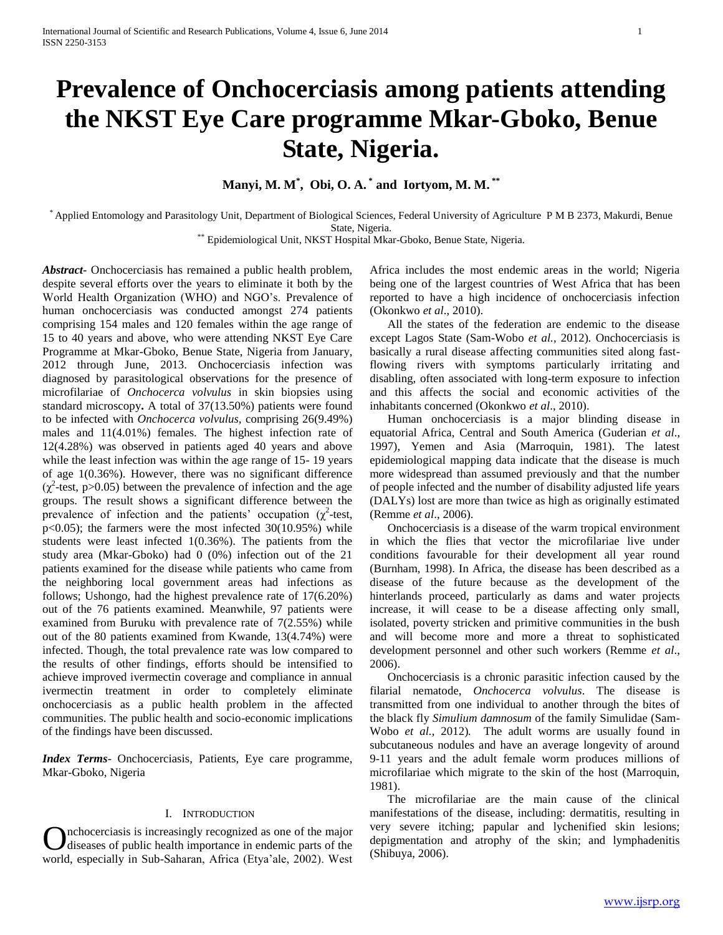# **Prevalence of Onchocerciasis among patients attending the NKST Eye Care programme Mkar-Gboko, Benue State, Nigeria.**

**Manyi, M. M\* , Obi, O. A. \* and Iortyom, M. M. \*\***

\* Applied Entomology and Parasitology Unit, Department of Biological Sciences, Federal University of Agriculture P M B 2373, Makurdi, Benue State, Nigeria.

\*\* Epidemiological Unit, NKST Hospital Mkar-Gboko, Benue State, Nigeria.

*Abstract***-** Onchocerciasis has remained a public health problem, despite several efforts over the years to eliminate it both by the World Health Organization (WHO) and NGO's. Prevalence of human onchocerciasis was conducted amongst 274 patients comprising 154 males and 120 females within the age range of 15 to 40 years and above, who were attending NKST Eye Care Programme at Mkar-Gboko, Benue State, Nigeria from January, 2012 through June, 2013. Onchocerciasis infection was diagnosed by parasitological observations for the presence of microfilariae of *Onchocerca volvulus* in skin biopsies using standard microscopy**.** A total of 37(13.50%) patients were found to be infected with *Onchocerca volvulus,* comprising 26(9.49%) males and 11(4.01%) females. The highest infection rate of 12(4.28%) was observed in patients aged 40 years and above while the least infection was within the age range of 15- 19 years of age 1(0.36%). However, there was no significant difference  $(\chi^2$ -test, p>0.05) between the prevalence of infection and the age groups. The result shows a significant difference between the prevalence of infection and the patients' occupation  $(\chi^2$ -test, p<0.05); the farmers were the most infected 30(10.95%) while students were least infected 1(0.36%). The patients from the study area (Mkar-Gboko) had 0 (0%) infection out of the 21 patients examined for the disease while patients who came from the neighboring local government areas had infections as follows; Ushongo, had the highest prevalence rate of 17(6.20%) out of the 76 patients examined. Meanwhile, 97 patients were examined from Buruku with prevalence rate of 7(2.55%) while out of the 80 patients examined from Kwande, 13(4.74%) were infected. Though, the total prevalence rate was low compared to the results of other findings, efforts should be intensified to achieve improved ivermectin coverage and compliance in annual ivermectin treatment in order to completely eliminate onchocerciasis as a public health problem in the affected communities. The public health and socio-economic implications of the findings have been discussed.

*Index Terms*- Onchocerciasis, Patients, Eye care programme, Mkar-Gboko, Nigeria

# I. INTRODUCTION

diseases of public health importance in endemic parts of the world, especially in Sub-Saharan, Africa (Etya'ale, 2002). West Africa includes the most endemic areas in the world; Nigeria being one of the largest countries of West Africa that has been reported to have a high incidence of onchocerciasis infection (Okonkwo *et al*., 2010).

 All the states of the federation are endemic to the disease except Lagos State (Sam-Wobo *et al.,* 2012)*.* Onchocerciasis is basically a rural disease affecting communities sited along fastflowing rivers with symptoms particularly irritating and disabling, often associated with long-term exposure to infection and this affects the social and economic activities of the inhabitants concerned (Okonkwo *et al*., 2010).

 Human onchocerciasis is a major blinding disease in equatorial Africa, Central and South America (Guderian *et al*., 1997), Yemen and Asia (Marroquin, 1981). The latest epidemiological mapping data indicate that the disease is much more widespread than assumed previously and that the number of people infected and the number of disability adjusted life years (DALYs) lost are more than twice as high as originally estimated (Remme *et al*., 2006).

 Onchocerciasis is a disease of the warm tropical environment in which the flies that vector the microfilariae live under conditions favourable for their development all year round (Burnham, 1998). In Africa, the disease has been described as a disease of the future because as the development of the hinterlands proceed, particularly as dams and water projects increase, it will cease to be a disease affecting only small, isolated, poverty stricken and primitive communities in the bush and will become more and more a threat to sophisticated development personnel and other such workers (Remme *et al*., 2006).

 Onchocerciasis is a chronic parasitic infection caused by the filarial nematode, *Onchocerca volvulus*. The disease is transmitted from one individual to another through the bites of the black fly *Simulium damnosum* of the family Simulidae (Sam-Wobo *et al.,* 2012)*.* The adult worms are usually found in subcutaneous nodules and have an average longevity of around 9-11 years and the adult female worm produces millions of microfilariae which migrate to the skin of the host (Marroquin, 1981).

Onchocerciasis is increasingly recognized as one of the major<br>diseases of public health importance in endemic parts of the epigmentation and atrophy of the skin; and lymphadenitis<br>world especially in Sub Sabaran. Africa (E The microfilariae are the main cause of the clinical manifestations of the disease, including: dermatitis, resulting in very severe itching; papular and lychenified skin lesions;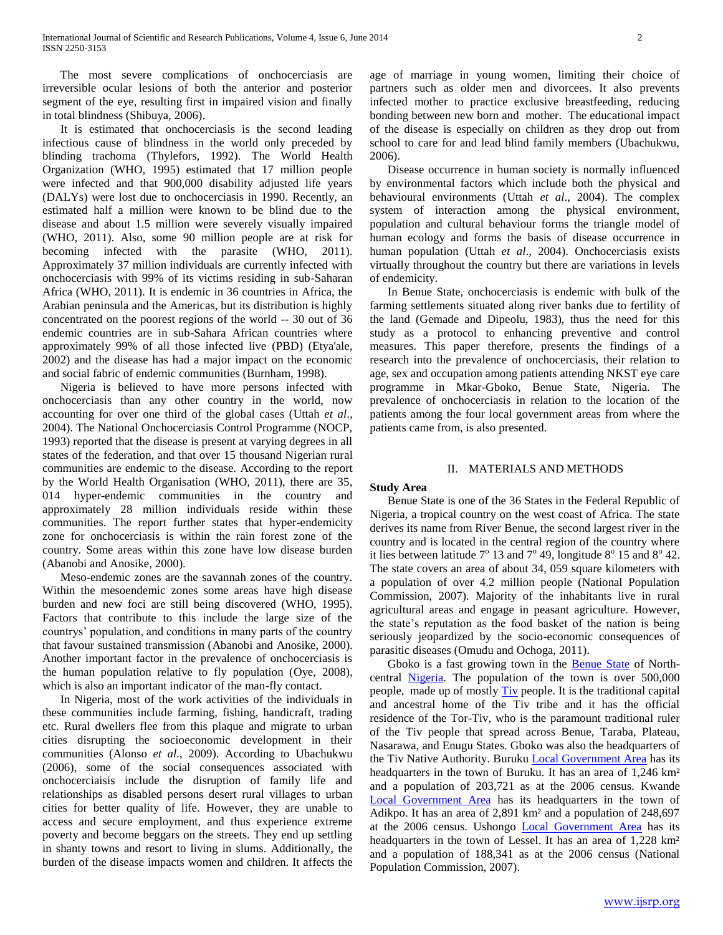The most severe complications of onchocerciasis are irreversible ocular lesions of both the anterior and posterior segment of the eye, resulting first in impaired vision and finally in total blindness (Shibuya, 2006).

 It is estimated that onchocerciasis is the second leading infectious cause of blindness in the world only preceded by blinding trachoma (Thylefors, 1992). The World Health Organization (WHO, 1995) estimated that 17 million people were infected and that 900,000 disability adjusted life years (DALYs) were lost due to onchocerciasis in 1990. Recently, an estimated half a million were known to be blind due to the disease and about 1.5 million were severely visually impaired (WHO, 2011). Also, some 90 million people are at risk for becoming infected with the parasite (WHO, 2011). Approximately 37 million individuals are currently infected with onchocerciasis with 99% of its victims residing in sub-Saharan Africa (WHO, 2011). It is endemic in 36 countries in Africa, the Arabian peninsula and the Americas, but its distribution is highly concentrated on the poorest regions of the world -- 30 out of 36 endemic countries are in sub-Sahara African countries where approximately 99% of all those infected live (PBD) (Etya'ale, 2002) and the disease has had a major impact on the economic and social fabric of endemic communities (Burnham, 1998).

 Nigeria is believed to have more persons infected with onchocerciasis than any other country in the world, now accounting for over one third of the global cases (Uttah *et al*., 2004). The National Onchocerciasis Control Programme (NOCP, 1993) reported that the disease is present at varying degrees in all states of the federation, and that over 15 thousand Nigerian rural communities are endemic to the disease. According to the report by the World Health Organisation (WHO, 2011), there are 35, 014 hyper-endemic communities in the country and approximately 28 million individuals reside within these communities. The report further states that hyper-endemicity zone for onchocerciasis is within the rain forest zone of the country. Some areas within this zone have low disease burden (Abanobi and Anosike, 2000).

 Meso-endemic zones are the savannah zones of the country. Within the mesoendemic zones some areas have high disease burden and new foci are still being discovered (WHO, 1995). Factors that contribute to this include the large size of the countrys' population, and conditions in many parts of the country that favour sustained transmission (Abanobi and Anosike, 2000). Another important factor in the prevalence of onchocerciasis is the human population relative to fly population (Oye, 2008), which is also an important indicator of the man-fly contact.

 In Nigeria, most of the work activities of the individuals in these communities include farming, fishing, handicraft, trading etc. Rural dwellers flee from this plaque and migrate to urban cities disrupting the socioeconomic development in their communities (Alonso *et al*., 2009). According to Ubachukwu (2006), some of the social consequences associated with onchocerciaisis include the disruption of family life and relationships as disabled persons desert rural villages to urban cities for better quality of life. However, they are unable to access and secure employment, and thus experience extreme poverty and become beggars on the streets. They end up settling in shanty towns and resort to living in slums. Additionally, the burden of the disease impacts women and children. It affects the age of marriage in young women, limiting their choice of partners such as older men and divorcees. It also prevents infected mother to practice exclusive breastfeeding, reducing bonding between new born and mother. The educational impact of the disease is especially on children as they drop out from school to care for and lead blind family members (Ubachukwu, 2006).

 Disease occurrence in human society is normally influenced by environmental factors which include both the physical and behavioural environments (Uttah *et al*., 2004). The complex system of interaction among the physical environment, population and cultural behaviour forms the triangle model of human ecology and forms the basis of disease occurrence in human population (Uttah *et al*., 2004). Onchocerciasis exists virtually throughout the country but there are variations in levels of endemicity.

 In Benue State, onchocerciasis is endemic with bulk of the farming settlements situated along river banks due to fertility of the land (Gemade and Dipeolu, 1983), thus the need for this study as a protocol to enhancing preventive and control measures. This paper therefore, presents the findings of a research into the prevalence of onchocerciasis, their relation to age, sex and occupation among patients attending NKST eye care programme in Mkar-Gboko, Benue State, Nigeria. The prevalence of onchocerciasis in relation to the location of the patients among the four local government areas from where the patients came from, is also presented.

## II. MATERIALS AND METHODS

# **Study Area**

 Benue State is one of the 36 States in the Federal Republic of Nigeria, a tropical country on the west coast of Africa. The state derives its name from River Benue, the second largest river in the country and is located in the central region of the country where it lies between latitude  $7^{\circ}$  13 and  $7^{\circ}$  49, longitude  $8^{\circ}$  15 and  $8^{\circ}$  42. The state covers an area of about 34, 059 square kilometers with a population of over 4.2 million people (National Population Commission, 2007). Majority of the inhabitants live in rural agricultural areas and engage in peasant agriculture. However, the state's reputation as the food basket of the nation is being seriously jeopardized by the socio-economic consequences of parasitic diseases (Omudu and Ochoga, 2011).

 Gboko is a fast growing town in the [Benue State](http://en.wikipedia.org/wiki/Benue_State) of Northcentral [Nigeria.](http://en.wikipedia.org/wiki/Nigeria) The population of the town is over 500,000 people, made up of mostly [Tiv](http://en.wikipedia.org/wiki/Tiv) people. It is the traditional capital and ancestral home of the Tiv tribe and it has the official residence of the Tor-Tiv, who is the paramount traditional ruler of the Tiv people that spread across Benue, Taraba, Plateau, Nasarawa, and Enugu States. Gboko was also the headquarters of the Tiv Native Authority. Buruku [Local Government Area](http://en.wikipedia.org/wiki/Local_Government_Areas_of_Nigeria) has its headquarters in the town of Buruku. It has an area of 1,246 km<sup>2</sup> and a population of 203,721 as at the 2006 census. Kwande [Local Government Area](http://en.wikipedia.org/wiki/Local_Government_Areas_of_Nigeria) has its headquarters in the town of Adikpo. It has an area of 2,891 km² and a population of 248,697 at the 2006 census. Ushongo [Local Government Area](http://en.wikipedia.org/wiki/Local_Government_Areas_of_Nigeria) has its headquarters in the town of Lessel. It has an area of 1,228 km<sup>2</sup> and a population of 188,341 as at the 2006 census (National Population Commission, 2007).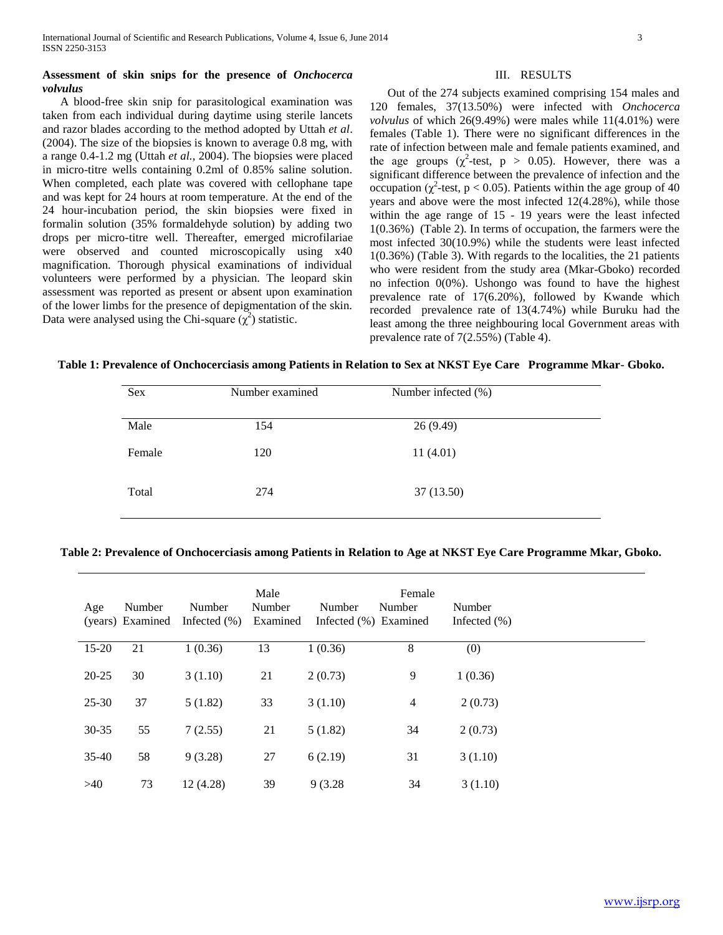# **Assessment of skin snips for the presence of** *Onchocerca volvulus*

 A blood-free skin snip for parasitological examination was taken from each individual during daytime using sterile lancets and razor blades according to the method adopted by Uttah *et al*. (2004). The size of the biopsies is known to average 0.8 mg, with a range 0.4-1.2 mg (Uttah *et al.,* 2004). The biopsies were placed in micro-titre wells containing 0.2ml of 0.85% saline solution. When completed, each plate was covered with cellophane tape and was kept for 24 hours at room temperature. At the end of the 24 hour-incubation period, the skin biopsies were fixed in formalin solution (35% formaldehyde solution) by adding two drops per micro-titre well. Thereafter, emerged microfilariae were observed and counted microscopically using x40 magnification. Thorough physical examinations of individual volunteers were performed by a physician. The leopard skin assessment was reported as present or absent upon examination of the lower limbs for the presence of depigmentation of the skin. Data were analysed using the Chi-square  $(\chi^2)$  statistic.

## III. RESULTS

 Out of the 274 subjects examined comprising 154 males and 120 females, 37(13.50%) were infected with *Onchocerca volvulus* of which 26(9.49%) were males while 11(4.01%) were females (Table 1). There were no significant differences in the rate of infection between male and female patients examined, and the age groups ( $\chi^2$ -test, p > 0.05). However, there was a significant difference between the prevalence of infection and the occupation ( $\chi^2$ -test, p < 0.05). Patients within the age group of 40 years and above were the most infected 12(4.28%), while those within the age range of 15 - 19 years were the least infected 1(0.36%) (Table 2). In terms of occupation, the farmers were the most infected 30(10.9%) while the students were least infected 1(0.36%) (Table 3). With regards to the localities, the 21 patients who were resident from the study area (Mkar-Gboko) recorded no infection 0(0%). Ushongo was found to have the highest prevalence rate of 17(6.20%), followed by Kwande which recorded prevalence rate of 13(4.74%) while Buruku had the least among the three neighbouring local Government areas with prevalence rate of 7(2.55%) (Table 4).

## **Table 1: Prevalence of Onchocerciasis among Patients in Relation to Sex at NKST Eye Care Programme Mkar- Gboko.**

| Sex    | Number examined | Number infected (%) |  |
|--------|-----------------|---------------------|--|
| Male   | 154             | 26(9.49)            |  |
| Female | 120             | 11(4.01)            |  |
| Total  | 274             | 37 (13.50)          |  |

**Table 2: Prevalence of Onchocerciasis among Patients in Relation to Age at NKST Eye Care Programme Mkar, Gboko.**

| Age       | Number<br>(years) Examined | Number<br>Infected $(\% )$ | Male<br>Number<br>Examined | Number<br>Infected (%) Examined | Female<br>Number | Number<br>Infected $(\%)$ |
|-----------|----------------------------|----------------------------|----------------------------|---------------------------------|------------------|---------------------------|
| $15 - 20$ | 21                         | 1(0.36)                    | 13                         | 1(0.36)                         | 8                | (0)                       |
| $20 - 25$ | 30                         | 3(1.10)                    | 21                         | 2(0.73)                         | 9                | 1(0.36)                   |
| $25 - 30$ | 37                         | 5(1.82)                    | 33                         | 3(1.10)                         | $\overline{4}$   | 2(0.73)                   |
| $30 - 35$ | 55                         | 7(2.55)                    | 21                         | 5(1.82)                         | 34               | 2(0.73)                   |
| $35-40$   | 58                         | 9(3.28)                    | 27                         | 6(2.19)                         | 31               | 3(1.10)                   |
| >40       | 73                         | 12 (4.28)                  | 39                         | 9 (3.28)                        | 34               | 3(1.10)                   |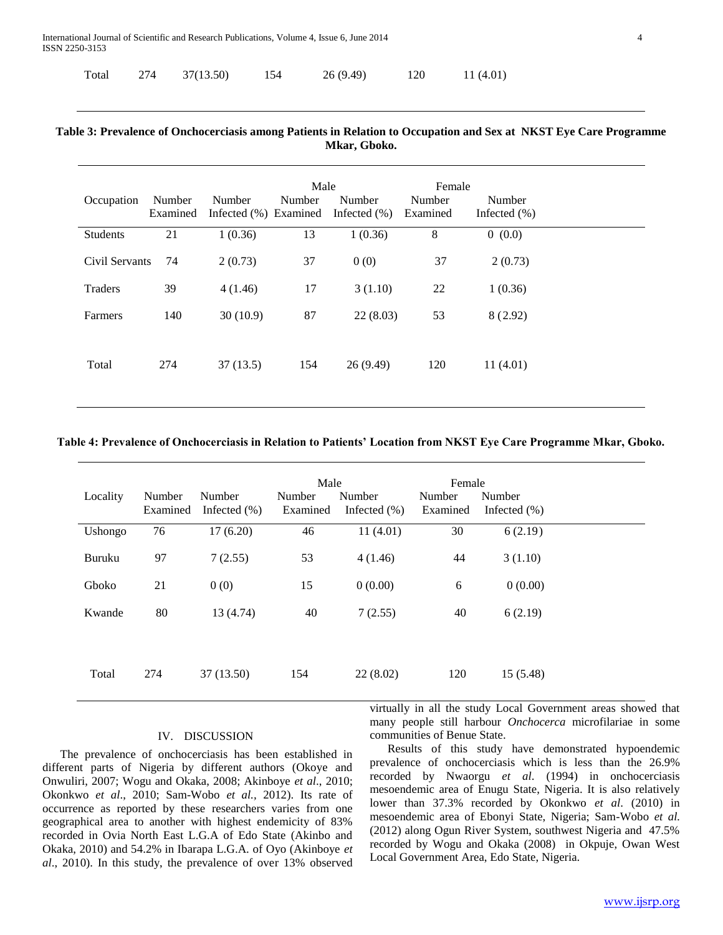|  | Total 274 37(13.50) | 154 | 26(9.49) | 120 | 11(4.01) |
|--|---------------------|-----|----------|-----|----------|
|  |                     |     |          |     |          |

# **Table 3: Prevalence of Onchocerciasis among Patients in Relation to Occupation and Sex at NKST Eye Care Programme Mkar, Gboko.**

| Occupation     | Number<br>Examined | Number<br>Infected (%) Examined | Male<br>Number | Number<br>Infected $(\%)$ | Female<br>Number<br>Examined | Number<br>Infected $(\%)$ |
|----------------|--------------------|---------------------------------|----------------|---------------------------|------------------------------|---------------------------|
| Students       | 21                 | 1(0.36)                         | 13             | 1(0.36)                   | 8                            | 0(0.0)                    |
| Civil Servants | 74                 | 2(0.73)                         | 37             | 0(0)                      | 37                           | 2(0.73)                   |
| Traders        | 39                 | 4(1.46)                         | 17             | 3(1.10)                   | 22                           | 1(0.36)                   |
| Farmers        | 140                | 30(10.9)                        | 87             | 22(8.03)                  | 53                           | 8(2.92)                   |
| Total          | 274                | 37(13.5)                        | 154            | 26(9.49)                  | 120                          | 11(4.01)                  |

# **Table 4: Prevalence of Onchocerciasis in Relation to Patients' Location from NKST Eye Care Programme Mkar, Gboko.**

|          |          |                  | Male     |                  | Female   |                 |  |
|----------|----------|------------------|----------|------------------|----------|-----------------|--|
| Locality | Number   | Number           | Number   | Number           | Number   | Number          |  |
|          | Examined | Infected $(\% )$ | Examined | Infected $(\% )$ | Examined | Infected $(\%)$ |  |
| Ushongo  | 76       | 17(6.20)         | 46       | 11(4.01)         | 30       | 6(2.19)         |  |
| Buruku   | 97       | 7(2.55)          | 53       | 4(1.46)          | 44       | 3(1.10)         |  |
| Gboko    | 21       | 0(0)             | 15       | 0(0.00)          | 6        | 0(0.00)         |  |
| Kwande   | 80       | 13 (4.74)        | 40       | 7(2.55)          | 40       | 6(2.19)         |  |
|          |          |                  |          |                  |          |                 |  |
| Total    | 274      | 37(13.50)        | 154      | 22(8.02)         | 120      | 15(5.48)        |  |

# IV. DISCUSSION

 The prevalence of onchocerciasis has been established in different parts of Nigeria by different authors (Okoye and Onwuliri, 2007; Wogu and Okaka, 2008; Akinboye *et al*., 2010; Okonkwo *et al*., 2010; Sam-Wobo *et al.,* 2012). Its rate of occurrence as reported by these researchers varies from one geographical area to another with highest endemicity of 83% recorded in Ovia North East L.G.A of Edo State (Akinbo and Okaka, 2010) and 54.2% in Ibarapa L.G.A. of Oyo (Akinboye *et al*., 2010). In this study, the prevalence of over 13% observed

virtually in all the study Local Government areas showed that many people still harbour *Onchocerca* microfilariae in some communities of Benue State.

 Results of this study have demonstrated hypoendemic prevalence of onchocerciasis which is less than the 26.9% recorded by Nwaorgu *et al*. (1994) in onchocerciasis mesoendemic area of Enugu State, Nigeria. It is also relatively lower than 37.3% recorded by Okonkwo *et al*. (2010) in mesoendemic area of Ebonyi State, Nigeria; Sam-Wobo *et al.*  (2012) along Ogun River System, southwest Nigeria and 47.5% recorded by Wogu and Okaka (2008) in Okpuje, Owan West Local Government Area, Edo State, Nigeria.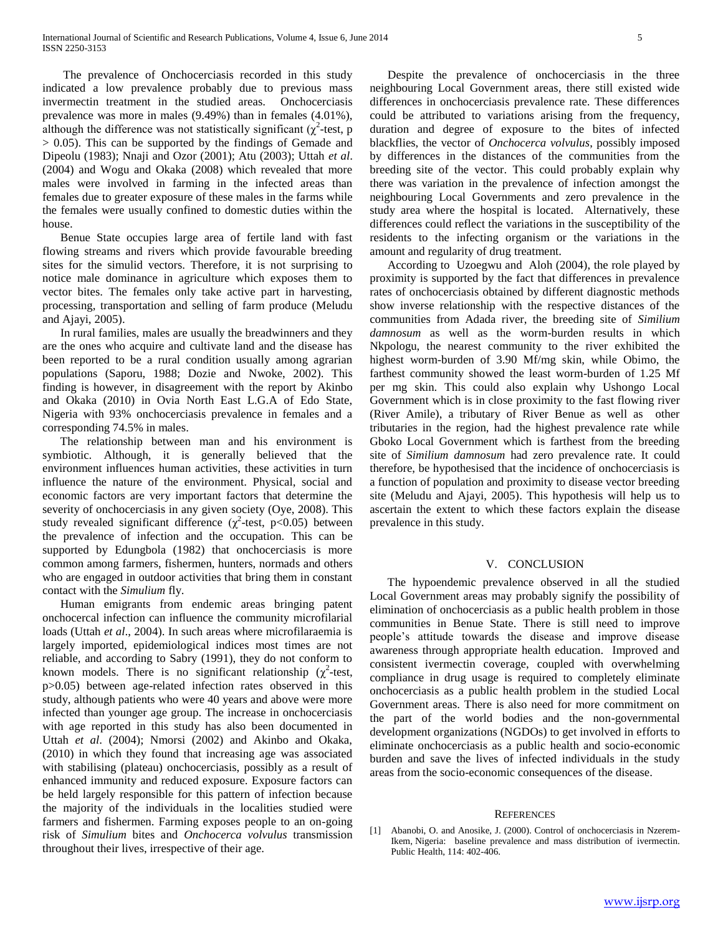The prevalence of Onchocerciasis recorded in this study indicated a low prevalence probably due to previous mass invermectin treatment in the studied areas. Onchocerciasis prevalence was more in males (9.49%) than in females (4.01%), although the difference was not statistically significant ( $\chi^2$ -test, p > 0.05). This can be supported by the findings of Gemade and Dipeolu (1983); Nnaji and Ozor (2001); Atu (2003); Uttah *et al*. (2004) and Wogu and Okaka (2008) which revealed that more males were involved in farming in the infected areas than females due to greater exposure of these males in the farms while the females were usually confined to domestic duties within the house.

 Benue State occupies large area of fertile land with fast flowing streams and rivers which provide favourable breeding sites for the simulid vectors. Therefore, it is not surprising to notice male dominance in agriculture which exposes them to vector bites. The females only take active part in harvesting, processing, transportation and selling of farm produce (Meludu and Ajayi, 2005).

 In rural families, males are usually the breadwinners and they are the ones who acquire and cultivate land and the disease has been reported to be a rural condition usually among agrarian populations (Saporu, 1988; Dozie and Nwoke, 2002). This finding is however, in disagreement with the report by Akinbo and Okaka (2010) in Ovia North East L.G.A of Edo State, Nigeria with 93% onchocerciasis prevalence in females and a corresponding 74.5% in males.

 The relationship between man and his environment is symbiotic. Although, it is generally believed that the environment influences human activities, these activities in turn influence the nature of the environment. Physical, social and economic factors are very important factors that determine the severity of onchocerciasis in any given society (Oye, 2008). This study revealed significant difference  $(\chi^2$ -test, p<0.05) between the prevalence of infection and the occupation. This can be supported by Edungbola (1982) that onchocerciasis is more common among farmers, fishermen, hunters, normads and others who are engaged in outdoor activities that bring them in constant contact with the *Simulium* fly.

 Human emigrants from endemic areas bringing patent onchocercal infection can influence the community microfilarial loads (Uttah *et al*., 2004). In such areas where microfilaraemia is largely imported, epidemiological indices most times are not reliable, and according to Sabry (1991), they do not conform to known models. There is no significant relationship ( $\chi^2$ -test, p>0.05) between age-related infection rates observed in this study, although patients who were 40 years and above were more infected than younger age group. The increase in onchocerciasis with age reported in this study has also been documented in Uttah *et al*. (2004); Nmorsi (2002) and Akinbo and Okaka, (2010) in which they found that increasing age was associated with stabilising (plateau) onchocerciasis, possibly as a result of enhanced immunity and reduced exposure. Exposure factors can be held largely responsible for this pattern of infection because the majority of the individuals in the localities studied were farmers and fishermen. Farming exposes people to an on-going risk of *Simulium* bites and *Onchocerca volvulus* transmission throughout their lives, irrespective of their age.

 Despite the prevalence of onchocerciasis in the three neighbouring Local Government areas, there still existed wide differences in onchocerciasis prevalence rate. These differences could be attributed to variations arising from the frequency, duration and degree of exposure to the bites of infected blackflies, the vector of *Onchocerca volvulus*, possibly imposed by differences in the distances of the communities from the breeding site of the vector. This could probably explain why there was variation in the prevalence of infection amongst the neighbouring Local Governments and zero prevalence in the study area where the hospital is located. Alternatively, these differences could reflect the variations in the susceptibility of the residents to the infecting organism or the variations in the amount and regularity of drug treatment.

 According to Uzoegwu and Aloh (2004), the role played by proximity is supported by the fact that differences in prevalence rates of onchocerciasis obtained by different diagnostic methods show inverse relationship with the respective distances of the communities from Adada river, the breeding site of *Similium damnosum* as well as the worm-burden results in which Nkpologu, the nearest community to the river exhibited the highest worm-burden of 3.90 Mf/mg skin, while Obimo, the farthest community showed the least worm-burden of 1.25 Mf per mg skin. This could also explain why Ushongo Local Government which is in close proximity to the fast flowing river (River Amile), a tributary of River Benue as well as other tributaries in the region, had the highest prevalence rate while Gboko Local Government which is farthest from the breeding site of *Similium damnosum* had zero prevalence rate. It could therefore, be hypothesised that the incidence of onchocerciasis is a function of population and proximity to disease vector breeding site (Meludu and Ajayi, 2005). This hypothesis will help us to ascertain the extent to which these factors explain the disease prevalence in this study.

# V. CONCLUSION

 The hypoendemic prevalence observed in all the studied Local Government areas may probably signify the possibility of elimination of onchocerciasis as a public health problem in those communities in Benue State. There is still need to improve people's attitude towards the disease and improve disease awareness through appropriate health education. Improved and consistent ivermectin coverage, coupled with overwhelming compliance in drug usage is required to completely eliminate onchocerciasis as a public health problem in the studied Local Government areas. There is also need for more commitment on the part of the world bodies and the non-governmental development organizations (NGDOs) to get involved in efforts to eliminate onchocerciasis as a public health and socio-economic burden and save the lives of infected individuals in the study areas from the socio-economic consequences of the disease.

#### **REFERENCES**

[1] Abanobi, O. and Anosike, J. (2000). Control of onchocerciasis in Nzerem-Ikem, Nigeria: baseline prevalence and mass distribution of ivermectin. Public Health, 114: 402-406.